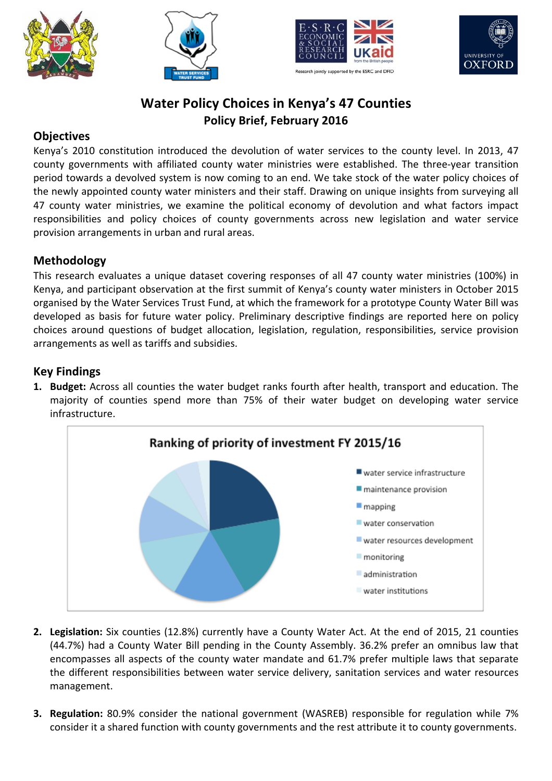







# **Water Policy Choices in Kenya's 47 Counties Policy Brief, February 2016**

#### **Objectives**

Kenya's 2010 constitution introduced the devolution of water services to the county level. In 2013, 47 county governments with affiliated county water ministries were established. The three-year transition period towards a devolved system is now coming to an end. We take stock of the water policy choices of the newly appointed county water ministers and their staff. Drawing on unique insights from surveying all 47 county water ministries, we examine the political economy of devolution and what factors impact responsibilities and policy choices of county governments across new legislation and water service provision arrangements in urban and rural areas.

## **Methodology**

This research evaluates a unique dataset covering responses of all 47 county water ministries (100%) in Kenya, and participant observation at the first summit of Kenya's county water ministers in October 2015 organised by the Water Services Trust Fund, at which the framework for a prototype County Water Bill was developed as basis for future water policy. Preliminary descriptive findings are reported here on policy choices around questions of budget allocation, legislation, regulation, responsibilities, service provision arrangements as well as tariffs and subsidies.

## **Key Findings**

**1. Budget:** Across all counties the water budget ranks fourth after health, transport and education. The majority of counties spend more than 75% of their water budget on developing water service infrastructure.



- **2.** Legislation: Six counties (12.8%) currently have a County Water Act. At the end of 2015, 21 counties (44.7%) had a County Water Bill pending in the County Assembly. 36.2% prefer an omnibus law that encompasses all aspects of the county water mandate and 61.7% prefer multiple laws that separate the different responsibilities between water service delivery, sanitation services and water resources management.
- **3. Regulation:** 80.9% consider the national government (WASREB) responsible for regulation while 7% consider it a shared function with county governments and the rest attribute it to county governments.